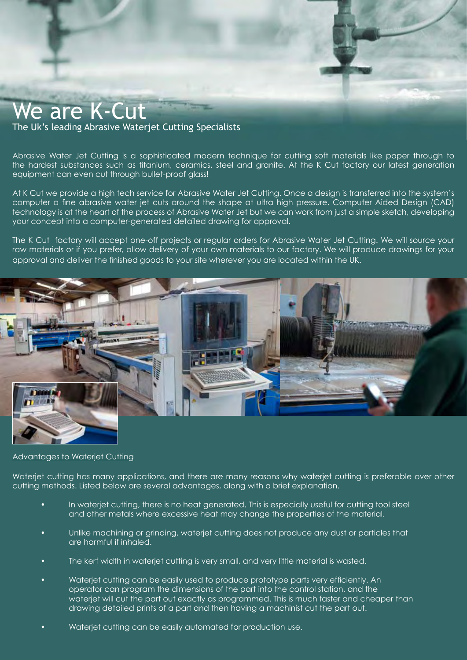# We are K-Cut

# The Uk's leading Abrasive Waterjet Cutting Specialists

Abrasive Water Jet Cutting is a sophisticated modern technique for cutting soft materials like paper through to the hardest substances such as titanium, ceramics, steel and granite. At the K Cut factory our latest generation equipment can even cut through bullet-proof glass!

At K Cut we provide a high tech service for Abrasive Water Jet Cutting. Once a design is transferred into the system's computer a fine abrasive water jet cuts around the shape at ultra high pressure. Computer Aided Design (CAD) technology is at the heart of the process of Abrasive Water Jet but we can work from just a simple sketch, developing your concept into a computer-generated detailed drawing for approval.

The K Cut factory will accept one-off projects or regular orders for Abrasive Water Jet Cutting. We will source your raw materials or if you prefer, allow delivery of your own materials to our factory. We will produce drawings for your approval and deliver the finished goods to your site wherever you are located within the UK.



# Advantages to Waterjet Cutting

Wateriet cutting has many applications, and there are many reasons why wateriet cutting is preferable over other cutting methods. Listed below are several advantages, along with a brief explanation.

- In wateriet cutting, there is no heat generated. This is especially useful for cutting tool steel and other metals where excessive heat may change the properties of the material.
- Unlike machining or grinding, waterjet cutting does not produce any dust or particles that are harmful if inhaled.
- The kerf width in waterjet cutting is very small, and very little material is wasted.
- Waterjet cutting can be easily used to produce prototype parts very efficiently. An operator can program the dimensions of the part into the control station, and the waterjet will cut the part out exactly as programmed. This is much faster and cheaper than drawing detailed prints of a part and then having a machinist cut the part out.
- Wateriet cutting can be easily automated for production use.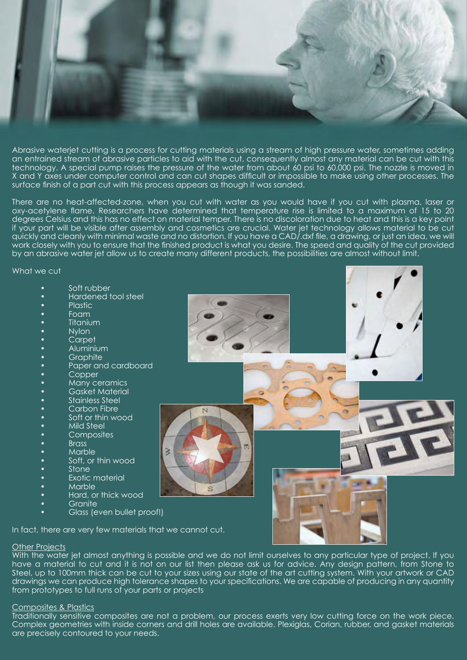

Abrasive waterjet cutting is a process for cutting materials using a stream of high pressure water, sometimes adding an entrained stream of abrasive particles to aid with the cut, consequently almost any material can be cut with this technology. A special pump raises the pressure of the water from about 60 psi to 60,000 psi. The nozzle is moved in X and Y axes under computer control and can cut shapes difficult or impossible to make using other processes. The surface finish of a part cut with this process appears as though it was sanded.

There are no heat-affected-zone, when you cut with water as you would have if you cut with plasma, laser or oxy-acetylene flame. Researchers have determined that temperature rise is limited to a maximum of 15 to 20 degrees Celsius and this has no effect on material temper. There is no discoloration due to heat and this is a key point if your part will be visible after assembly and cosmetics are crucial. Water jet technology allows material to be cut quickly and cleanly with minimal waste and no distortion. If you have a CAD/.dxf file, a drawing, or just an idea, we will work closely with you to ensure that the finished product is what you desire. The speed and quality of the cut provided by an abrasive water jet allow us to create many different products, the possibilities are almost without limit.

What we cut

- Soft rubber
- Hardened tool steel
- Plastic
- Foam
- **Titanium**
- Nylon
- Carpet
- Aluminium
- **Graphite**
- Paper and cardboard
- Copper
- Many ceramics
- Gasket Material
- Stainless Steel
- Carbon Fibre
- Soft or thin wood
- Mild Steel
- **Composites**
- Brass
- Marble
- Soft, or thin wood
- Stone
- **Exotic material**
- Marble
- Hard, or thick wood
- **Granite**
- Glass (even bullet proof!)

In fact, there are very few materials that we cannot cut.

B

#### **Other Projects**

With the water jet almost anything is possible and we do not limit ourselves to any particular type of project. If you have a material to cut and it is not on our list then please ask us for advice. Any design pattern, from Stone to Steel, up to 100mm thick can be cut to your sizes using our state of the art cutting system. With your artwork or CAD drawings we can produce high tolerance shapes to your specifications. We are capable of producing in any quantity from prototypes to full runs of your parts or projects

#### Composites & Plastics

Traditionally sensitive composites are not a problem, our process exerts very low cutting force on the work piece. Complex geometries with inside corners and drill holes are available. Plexiglas, Corian, rubber, and gasket materials are precisely contoured to your needs.

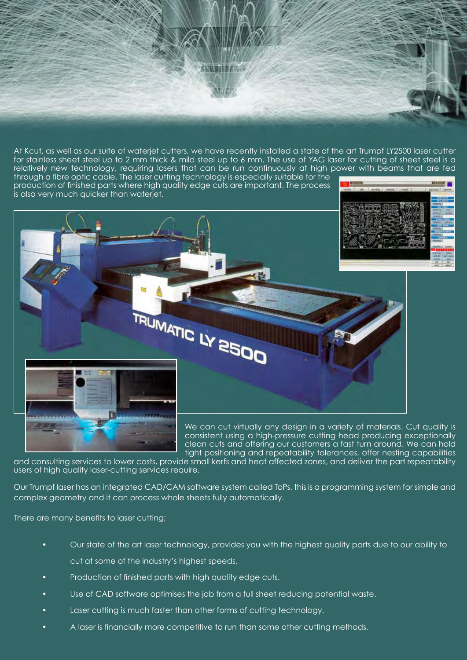At Kcut, as well as our suite of waterjet cutters, we have recently installed a state of the art Trumpf LY2500 laser cutter for stainless sheet steel up to 2 mm thick & mild steel up to 6 mm. The use of YAG laser for cutting of sheet steel is a relatively new technology, requiring lasers that can be run continuously at high power with beams that are fed through a fibre optic cable. The laser cutting technology is especially suitable for the **KINDER OF** 

production of finished parts where high quality edge cuts are important. The process is also very much quicker than waterjet.





We can cut virtually any design in a variety of materials. Cut quality is consistent using a high-pressure cutting head producing exceptionally clean cuts and offering our customers a fast turn around. We can hold tight positioning and repeatability tolerances, offer nesting capabilities

and consulting services to lower costs, provide small kerfs and heat affected zones, and deliver the part repeatability users of high quality laser-cutting services require.

Our Trumpf laser has an integrated CAD/CAM software system called ToPs, this is a programming system for simple and complex geometry and it can process whole sheets fully automatically.

There are many benefits to laser cutting;

- Our state of the art laser technology, provides you with the highest quality parts due to our ability to cut at some of the industry's highest speeds.
- Production of finished parts with high quality edge cuts.
- Use of CAD software optimises the job from a full sheet reducing potential waste.
- Laser cutting is much faster than other forms of cutting technology.
- A laser is financially more competitive to run than some other cutting methods.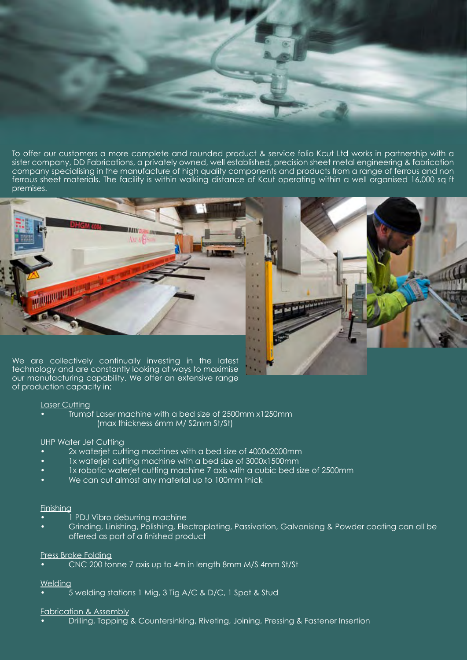To offer our customers a more complete and rounded product & service folio Kcut Ltd works in partnership with a sister company, DD Fabrications, a privately owned, well established, precision sheet metal engineering & fabrication company specialising in the manufacture of high quality components and products from a range of ferrous and non ferrous sheet materials. The facility is within walking distance of Kcut operating within a well organised 16,000 sq ft premises.





We are collectively continually investing in the latest technology and are constantly looking at ways to maximise our manufacturing capability. We offer an extensive range of production capacity in;

# Laser Cutting

• Trumpf Laser machine with a bed size of 2500mm x1250mm (max thickness 6mm M/ S2mm St/St)

#### UHP Water Jet Cutting

- 2x waterjet cutting machines with a bed size of 4000x2000mm
- 1x waterjet cutting machine with a bed size of 3000x1500mm
- 1x robotic waterjet cutting machine 7 axis with a cubic bed size of 2500mm
- We can cut almost any material up to 100mm thick

#### Finishing

- 1 PDJ Vibro deburring machine
- Grinding, Linishing, Polishing, Electroplating, Passivation, Galvanising & Powder coating can all be offered as part of a finished product

# Press Brake Folding

• CNC 200 tonne 7 axis up to 4m in length 8mm M/S 4mm St/St

# **Welding**

• 5 welding stations 1 Mig, 3 Tig A/C & D/C, 1 Spot & Stud

#### Fabrication & Assembly

• Drilling, Tapping & Countersinking, Riveting, Joining, Pressing & Fastener Insertion